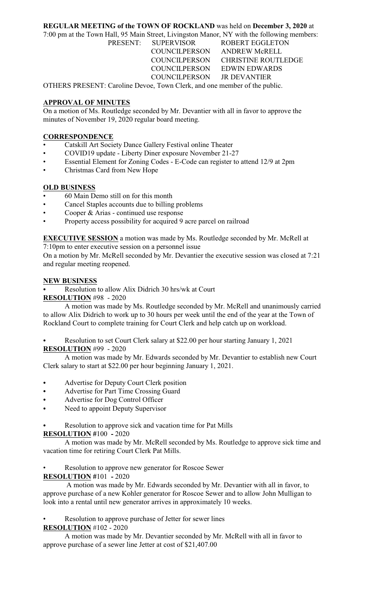## **REGULAR MEETING of the TOWN OF ROCKLAND** was held on **December 3, 2020** at

7:00 pm at the Town Hall, 95 Main Street, Livingston Manor, NY with the following members: PRESENT: SUPERVISOR ROBERT EGGLETON COUNCILPERSON ANDREW McRELL COUNCILPERSON CHRISTINE ROUTLEDGE COUNCILPERSON EDWIN EDWARDS COUNCILPERSON JR DEVANTIER

OTHERS PRESENT: Caroline Devoe, Town Clerk, and one member of the public.

# **APPROVAL OF MINUTES**

On a motion of Ms. Routledge seconded by Mr. Devantier with all in favor to approve the minutes of November 19, 2020 regular board meeting.

#### **CORRESPONDENCE**

- Catskill Art Society Dance Gallery Festival online Theater
- COVID19 update Liberty Diner exposure November 21-27
- Essential Element for Zoning Codes E-Code can register to attend 12/9 at 2pm
- Christmas Card from New Hope

## **OLD BUSINESS**

- 60 Main Demo still on for this month
- Cancel Staples accounts due to billing problems
- Cooper & Arias continued use response
- Property access possibility for acquired 9 acre parcel on railroad

**EXECUTIVE SESSION** a motion was made by Ms. Routledge seconded by Mr. McRell at

7:10pm to enter executive session on a personnel issue

On a motion by Mr. McRell seconded by Mr. Devantier the executive session was closed at 7:21 and regular meeting reopened.

#### **NEW BUSINESS**

Resolution to allow Alix Didrich 30 hrs/wk at Court

**RESOLUTION** #98 - 2020

A motion was made by Ms. Routledge seconded by Mr. McRell and unanimously carried to allow Alix Didrich to work up to 30 hours per week until the end of the year at the Town of Rockland Court to complete training for Court Clerk and help catch up on workload.

Resolution to set Court Clerk salary at \$22.00 per hour starting January 1, 2021 **RESOLUTION** #99 - 2020

A motion was made by Mr. Edwards seconded by Mr. Devantier to establish new Court Clerk salary to start at \$22.00 per hour beginning January 1, 2021.

- Advertise for Deputy Court Clerk position
- Advertise for Part Time Crossing Guard
- Advertise for Dog Control Officer
- Need to appoint Deputy Supervisor

Resolution to approve sick and vacation time for Pat Mills

# **RESOLUTION #**100 **-** 2020

A motion was made by Mr. McRell seconded by Ms. Routledge to approve sick time and vacation time for retiring Court Clerk Pat Mills.

Resolution to approve new generator for Roscoe Sewer

# **RESOLUTION #**101 **-** 2020

 A motion was made by Mr. Edwards seconded by Mr. Devantier with all in favor, to approve purchase of a new Kohler generator for Roscoe Sewer and to allow John Mulligan to look into a rental until new generator arrives in approximately 10 weeks.

Resolution to approve purchase of Jetter for sewer lines

#### **RESOLUTION** #102 - 2020

A motion was made by Mr. Devantier seconded by Mr. McRell with all in favor to approve purchase of a sewer line Jetter at cost of \$21,407.00